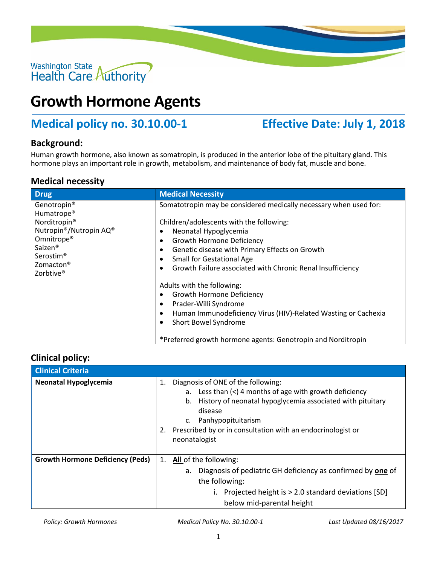

# **Growth Hormone Agents**

## **Medical policy no. 30.10.00-1 Effective Date: July 1, 2018**

#### **Background:**

Human growth hormone, also known as somatropin, is produced in the anterior lobe of the pituitary gland. This hormone plays an important role in growth, metabolism, and maintenance of body fat, muscle and bone.

#### **Medical necessity**

| <b>Drug</b>                                                                                                                                                                                                             | <b>Medical Necessity</b>                                                                                                                                                                                                                                                                                                                    |
|-------------------------------------------------------------------------------------------------------------------------------------------------------------------------------------------------------------------------|---------------------------------------------------------------------------------------------------------------------------------------------------------------------------------------------------------------------------------------------------------------------------------------------------------------------------------------------|
| Genotropin®<br>Humatrope <sup>®</sup><br>Norditropin <sup>®</sup><br>Nutropin®/Nutropin AQ®<br>Omnitrope <sup>®</sup><br>Saizen <sup>®</sup><br>Serostim <sup>®</sup><br>Zomacton <sup>®</sup><br>Zorbtive <sup>®</sup> | Somatotropin may be considered medically necessary when used for:<br>Children/adolescents with the following:<br>Neonatal Hypoglycemia<br><b>Growth Hormone Deficiency</b><br>$\bullet$<br>Genetic disease with Primary Effects on Growth<br><b>Small for Gestational Age</b><br>Growth Failure associated with Chronic Renal Insufficiency |
|                                                                                                                                                                                                                         | Adults with the following:<br>Growth Hormone Deficiency<br>Prader-Willi Syndrome<br>$\bullet$<br>Human Immunodeficiency Virus (HIV)-Related Wasting or Cachexia<br>Short Bowel Syndrome<br>*Preferred growth hormone agents: Genotropin and Norditropin                                                                                     |

### **Clinical policy:**

| <b>Clinical Criteria</b>                |                                                                                                                                                                                                                                                                                                                                        |
|-----------------------------------------|----------------------------------------------------------------------------------------------------------------------------------------------------------------------------------------------------------------------------------------------------------------------------------------------------------------------------------------|
| <b>Neonatal Hypoglycemia</b>            | Diagnosis of ONE of the following:<br>1.<br>a. Less than $\left\langle \epsilon \right\rangle$ 4 months of age with growth deficiency<br>History of neonatal hypoglycemia associated with pituitary<br>b.<br>disease<br>Panhypopituitarism<br>c.<br>Prescribed by or in consultation with an endocrinologist or<br>2.<br>neonatalogist |
| <b>Growth Hormone Deficiency (Peds)</b> | <b>All of the following:</b><br>1.<br>Diagnosis of pediatric GH deficiency as confirmed by one of<br>а.<br>the following:<br>Projected height is > 2.0 standard deviations [SD]<br>below mid-parental height                                                                                                                           |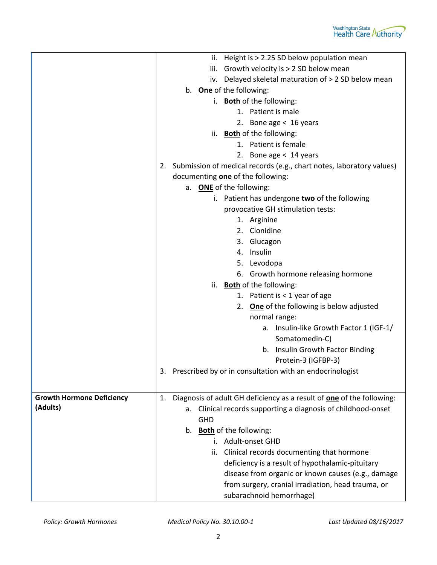|                                  | Height is > 2.25 SD below population mean<br>н.                                                                                                                                          |
|----------------------------------|------------------------------------------------------------------------------------------------------------------------------------------------------------------------------------------|
|                                  | iii. Growth velocity is $> 2$ SD below mean                                                                                                                                              |
|                                  | iv. Delayed skeletal maturation of > 2 SD below mean                                                                                                                                     |
|                                  | b. One of the following:                                                                                                                                                                 |
|                                  | i. Both of the following:                                                                                                                                                                |
|                                  | 1. Patient is male                                                                                                                                                                       |
|                                  | 2. Bone age < 16 years                                                                                                                                                                   |
|                                  | <b>Both</b> of the following:<br>ii.                                                                                                                                                     |
|                                  | 1. Patient is female                                                                                                                                                                     |
|                                  | 2. Bone age < 14 years                                                                                                                                                                   |
|                                  | 2. Submission of medical records (e.g., chart notes, laboratory values)                                                                                                                  |
|                                  | documenting one of the following:                                                                                                                                                        |
|                                  | a. ONE of the following:                                                                                                                                                                 |
|                                  | i. Patient has undergone two of the following                                                                                                                                            |
|                                  | provocative GH stimulation tests:                                                                                                                                                        |
|                                  | 1. Arginine                                                                                                                                                                              |
|                                  | 2. Clonidine                                                                                                                                                                             |
|                                  | Glucagon<br>3.                                                                                                                                                                           |
|                                  | 4. Insulin                                                                                                                                                                               |
|                                  | 5. Levodopa                                                                                                                                                                              |
|                                  | 6. Growth hormone releasing hormone                                                                                                                                                      |
|                                  | ii. Both of the following:                                                                                                                                                               |
|                                  | 1. Patient is $<$ 1 year of age                                                                                                                                                          |
|                                  | 2. One of the following is below adjusted                                                                                                                                                |
|                                  | normal range:                                                                                                                                                                            |
|                                  | a. Insulin-like Growth Factor 1 (IGF-1/                                                                                                                                                  |
|                                  | Somatomedin-C)                                                                                                                                                                           |
|                                  | b. Insulin Growth Factor Binding                                                                                                                                                         |
|                                  | Protein-3 (IGFBP-3)                                                                                                                                                                      |
|                                  | Prescribed by or in consultation with an endocrinologist<br>3.                                                                                                                           |
|                                  |                                                                                                                                                                                          |
| <b>Growth Hormone Deficiency</b> | Diagnosis of adult GH deficiency as a result of <b>one</b> of the following:<br>1.                                                                                                       |
| (Adults)                         | Clinical records supporting a diagnosis of childhood-onset<br>а.                                                                                                                         |
|                                  | <b>GHD</b>                                                                                                                                                                               |
|                                  | b. Both of the following:                                                                                                                                                                |
|                                  | i. Adult-onset GHD                                                                                                                                                                       |
|                                  | Clinical records documenting that hormone<br>ii.                                                                                                                                         |
|                                  |                                                                                                                                                                                          |
|                                  |                                                                                                                                                                                          |
|                                  |                                                                                                                                                                                          |
|                                  |                                                                                                                                                                                          |
|                                  | deficiency is a result of hypothalamic-pituitary<br>disease from organic or known causes (e.g., damage<br>from surgery, cranial irradiation, head trauma, or<br>subarachnoid hemorrhage) |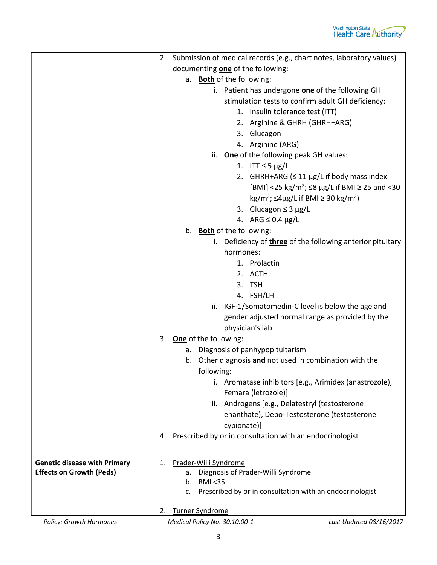|                                                                        | 2. Submission of medical records (e.g., chart notes, laboratory values)   |
|------------------------------------------------------------------------|---------------------------------------------------------------------------|
|                                                                        | documenting one of the following:                                         |
|                                                                        | a. <b>Both</b> of the following:                                          |
|                                                                        | i. Patient has undergone <b>one</b> of the following GH                   |
|                                                                        | stimulation tests to confirm adult GH deficiency:                         |
|                                                                        | 1. Insulin tolerance test (ITT)                                           |
|                                                                        | 2. Arginine & GHRH (GHRH+ARG)                                             |
|                                                                        | 3. Glucagon                                                               |
|                                                                        | 4. Arginine (ARG)                                                         |
|                                                                        | ii. One of the following peak GH values:                                  |
|                                                                        | 1. ITT $\leq$ 5 µg/L                                                      |
|                                                                        | 2. GHRH+ARG ( $\leq 11 \,\mu$ g/L if body mass index                      |
|                                                                        | [BMI] <25 kg/m <sup>2</sup> ; ≤8 µg/L if BMI ≥ 25 and <30                 |
|                                                                        | $\text{kg/m}^2$ ; $\leq 4\mu\text{g/L}$ if BMI $\geq 30 \text{ kg/m}^2$ ) |
|                                                                        | 3. Glucagon $\leq$ 3 µg/L                                                 |
|                                                                        | 4. ARG $\leq$ 0.4 µg/L                                                    |
|                                                                        | b. Both of the following:                                                 |
|                                                                        | i. Deficiency of three of the following anterior pituitary                |
|                                                                        | hormones:                                                                 |
|                                                                        | 1. Prolactin                                                              |
|                                                                        | 2. ACTH                                                                   |
|                                                                        | 3. TSH                                                                    |
|                                                                        | 4. FSH/LH                                                                 |
|                                                                        | ii. IGF-1/Somatomedin-C level is below the age and                        |
|                                                                        | gender adjusted normal range as provided by the                           |
|                                                                        | physician's lab                                                           |
|                                                                        | 3. One of the following:                                                  |
|                                                                        | Diagnosis of panhypopituitarism<br>а.                                     |
|                                                                        | b. Other diagnosis and not used in combination with the                   |
|                                                                        | following:                                                                |
|                                                                        | i. Aromatase inhibitors [e.g., Arimidex (anastrozole),                    |
|                                                                        | Femara (letrozole)]                                                       |
|                                                                        | ii. Androgens [e.g., Delatestryl (testosterone                            |
|                                                                        | enanthate), Depo-Testosterone (testosterone                               |
|                                                                        | cypionate)]                                                               |
|                                                                        | Prescribed by or in consultation with an endocrinologist<br>4.            |
|                                                                        |                                                                           |
|                                                                        |                                                                           |
| <b>Genetic disease with Primary</b><br><b>Effects on Growth (Peds)</b> | Prader-Willi Syndrome<br>1.<br>Diagnosis of Prader-Willi Syndrome<br>а.   |
|                                                                        | <b>BMI &lt;35</b><br>$b_{1}$                                              |
|                                                                        | Prescribed by or in consultation with an endocrinologist<br>c.            |
|                                                                        |                                                                           |
|                                                                        | <b>Turner Syndrome</b><br>2.                                              |

*Policy: Growth Hormones Medical Policy No. 30.10.00-1 Last Updated 08/16/2017*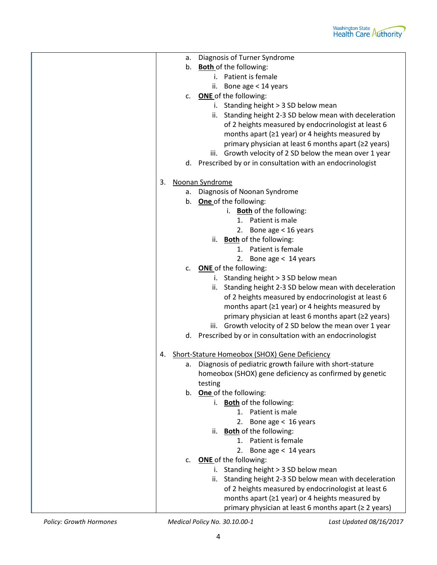

|    | a. | Diagnosis of Turner Syndrome                                |
|----|----|-------------------------------------------------------------|
|    | b. | <b>Both</b> of the following:                               |
|    |    | i. Patient is female                                        |
|    |    | ii. Bone age < 14 years                                     |
|    | c. | <b>ONE</b> of the following:                                |
|    |    | i. Standing height > 3 SD below mean                        |
|    |    | ii. Standing height 2-3 SD below mean with deceleration     |
|    |    | of 2 heights measured by endocrinologist at least 6         |
|    |    | months apart (≥1 year) or 4 heights measured by             |
|    |    | primary physician at least 6 months apart (≥2 years)        |
|    |    | iii. Growth velocity of 2 SD below the mean over 1 year     |
|    |    | d. Prescribed by or in consultation with an endocrinologist |
| 3. |    | Noonan Syndrome                                             |
|    | а. | Diagnosis of Noonan Syndrome                                |
|    | b. | One of the following:                                       |
|    |    | i. <b>Both</b> of the following:                            |
|    |    | 1. Patient is male                                          |
|    |    | 2. Bone age $<$ 16 years                                    |
|    |    | ii. Both of the following:                                  |
|    |    | 1. Patient is female                                        |
|    |    | 2. Bone age < 14 years                                      |
|    |    | c. ONE of the following:                                    |
|    |    | i. Standing height > 3 SD below mean                        |
|    |    | ii. Standing height 2-3 SD below mean with deceleration     |
|    |    | of 2 heights measured by endocrinologist at least 6         |
|    |    | months apart ( $\geq 1$ year) or 4 heights measured by      |
|    |    | primary physician at least 6 months apart (≥2 years)        |
|    |    | iii. Growth velocity of 2 SD below the mean over 1 year     |
|    |    | d. Prescribed by or in consultation with an endocrinologist |
| 4. |    | Short-Stature Homeobox (SHOX) Gene Deficiency               |
|    | а. | Diagnosis of pediatric growth failure with short-stature    |
|    |    | homeobox (SHOX) gene deficiency as confirmed by genetic     |
|    |    | testing                                                     |
|    |    | b. One of the following:                                    |
|    |    | i. Both of the following:                                   |
|    |    | 1. Patient is male                                          |
|    |    | 2. Bone age $< 16$ years                                    |
|    |    | ii. <b>Both</b> of the following:                           |
|    |    | Patient is female<br>$1_{-}$                                |
|    |    | Bone age < 14 years<br>2.                                   |
|    | c. | <b>ONE</b> of the following:                                |
|    |    | i. Standing height > 3 SD below mean                        |
|    |    | ii. Standing height 2-3 SD below mean with deceleration     |
|    |    | of 2 heights measured by endocrinologist at least 6         |
|    |    | months apart ( $\geq 1$ year) or 4 heights measured by      |
|    |    | primary physician at least 6 months apart (≥ 2 years)       |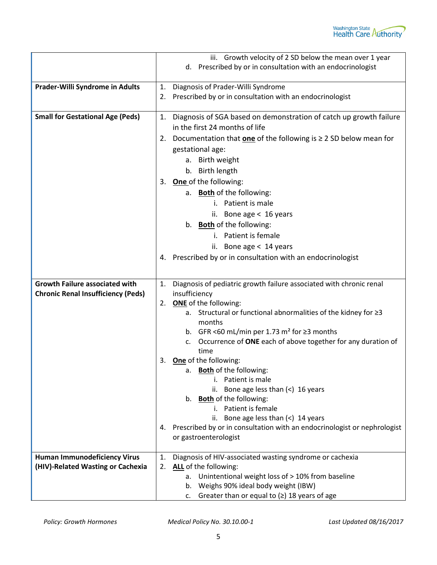|                                           | iii. Growth velocity of 2 SD below the mean over 1 year                     |
|-------------------------------------------|-----------------------------------------------------------------------------|
|                                           | d. Prescribed by or in consultation with an endocrinologist                 |
|                                           |                                                                             |
| Prader-Willi Syndrome in Adults           | Diagnosis of Prader-Willi Syndrome<br>1.                                    |
|                                           | Prescribed by or in consultation with an endocrinologist<br>2.              |
|                                           |                                                                             |
| <b>Small for Gestational Age (Peds)</b>   | Diagnosis of SGA based on demonstration of catch up growth failure<br>1.    |
|                                           | in the first 24 months of life                                              |
|                                           | 2. Documentation that one of the following is $\geq$ 2 SD below mean for    |
|                                           | gestational age:                                                            |
|                                           | a. Birth weight                                                             |
|                                           | b. Birth length                                                             |
|                                           | 3. One of the following:                                                    |
|                                           | a. <b>Both</b> of the following:                                            |
|                                           | i. Patient is male                                                          |
|                                           | ii. Bone age $< 16$ years                                                   |
|                                           | b. Both of the following:                                                   |
|                                           | i. Patient is female                                                        |
|                                           | ii. Bone age < 14 years                                                     |
|                                           | 4. Prescribed by or in consultation with an endocrinologist                 |
|                                           |                                                                             |
| <b>Growth Failure associated with</b>     | Diagnosis of pediatric growth failure associated with chronic renal<br>1.   |
| <b>Chronic Renal Insufficiency (Peds)</b> | insufficiency                                                               |
|                                           | 2. ONE of the following:                                                    |
|                                           | Structural or functional abnormalities of the kidney for ≥3<br>а.           |
|                                           | months                                                                      |
|                                           | b. GFR <60 mL/min per 1.73 m <sup>2</sup> for $\geq$ 3 months               |
|                                           | Occurrence of ONE each of above together for any duration of<br>c.          |
|                                           | time                                                                        |
|                                           | One of the following:<br>3.                                                 |
|                                           | <b>Both</b> of the following:<br>а.<br>Patient is male                      |
|                                           | Bone age less than $(<)$ 16 years<br>ii.                                    |
|                                           | b. Both of the following:                                                   |
|                                           | i. Patient is female                                                        |
|                                           | ii. Bone age less than $($ $2$ 14 years                                     |
|                                           | 4. Prescribed by or in consultation with an endocrinologist or nephrologist |
|                                           | or gastroenterologist                                                       |
|                                           |                                                                             |
| <b>Human Immunodeficiency Virus</b>       | Diagnosis of HIV-associated wasting syndrome or cachexia<br>1.              |
| (HIV)-Related Wasting or Cachexia         | ALL of the following:<br>2.                                                 |
|                                           | a. Unintentional weight loss of > 10% from baseline                         |
|                                           | b. Weighs 90% ideal body weight (IBW)                                       |
|                                           | Greater than or equal to $(2)$ 18 years of age<br>c.                        |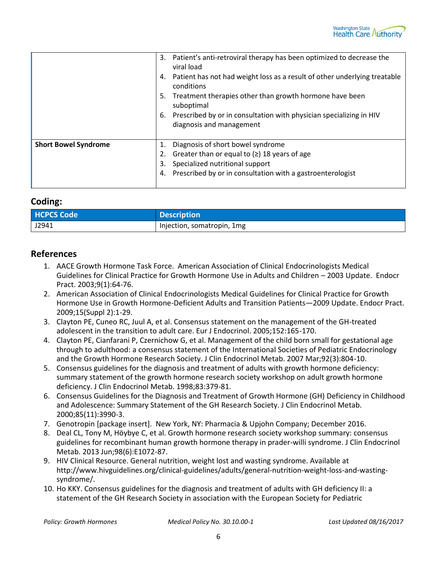

|                             | Patient's anti-retroviral therapy has been optimized to decrease the<br>3.<br>viral load<br>Patient has not had weight loss as a result of other underlying treatable<br>4.<br>conditions<br>Treatment therapies other than growth hormone have been<br>5.<br>suboptimal<br>Prescribed by or in consultation with physician specializing in HIV<br>6.<br>diagnosis and management |
|-----------------------------|-----------------------------------------------------------------------------------------------------------------------------------------------------------------------------------------------------------------------------------------------------------------------------------------------------------------------------------------------------------------------------------|
| <b>Short Bowel Syndrome</b> | Diagnosis of short bowel syndrome<br>Greater than or equal to $(2)$ 18 years of age<br>2.<br>Specialized nutritional support<br>3.<br>Prescribed by or in consultation with a gastroenterologist<br>4.                                                                                                                                                                            |

#### **Coding:**

| <b>HCPCS Code</b> | Description                |
|-------------------|----------------------------|
| J2941             | Injection, somatropin, 1mg |

#### **References**

- 1. AACE Growth Hormone Task Force. American Association of Clinical Endocrinologists Medical Guidelines for Clinical Practice for Growth Hormone Use in Adults and Children – 2003 Update. Endocr Pract. 2003;9(1):64-76.
- 2. American Association of Clinical Endocrinologists Medical Guidelines for Clinical Practice for Growth Hormone Use in Growth Hormone-Deficient Adults and Transition Patients—2009 Update. Endocr Pract. 2009;15(Suppl 2):1-29.
- 3. Clayton PE, Cuneo RC, Juul A, et al. Consensus statement on the management of the GH-treated adolescent in the transition to adult care. Eur J Endocrinol. 2005;152:165-170.
- 4. Clayton PE, Cianfarani P, Czernichow G, et al. Management of the child born small for gestational age through to adulthood: a consensus statement of the International Societies of Pediatric Endocrinology and the Growth Hormone Research Society. J Clin Endocrinol Metab. 2007 Mar;92(3):804-10.
- 5. Consensus guidelines for the diagnosis and treatment of adults with growth hormone deficiency: summary statement of the growth hormone research society workshop on adult growth hormone deficiency. J Clin Endocrinol Metab. 1998;83:379-81.
- 6. Consensus Guidelines for the Diagnosis and Treatment of Growth Hormone (GH) Deficiency in Childhood and Adolescence: Summary Statement of the GH Research Society. J Clin Endocrinol Metab. 2000;85(11):3990-3.
- 7. Genotropin [package insert]. New York, NY: Pharmacia & Upjohn Company; December 2016.
- 8. Deal CL, Tony M, Höybye C, et al. Growth hormone research society workshop summary: consensus guidelines for recombinant human growth hormone therapy in prader-willi syndrome. J Clin Endocrinol Metab. 2013 Jun;98(6):E1072-87.
- 9. HIV Clinical Resource. General nutrition, weight lost and wasting syndrome. Available at http://www.hivguidelines.org/clinical-guidelines/adults/general-nutrition-weight-loss-and-wastingsyndrome/.
- 10. Ho KKY. Consensus guidelines for the diagnosis and treatment of adults with GH deficiency II: a statement of the GH Research Society in association with the European Society for Pediatric